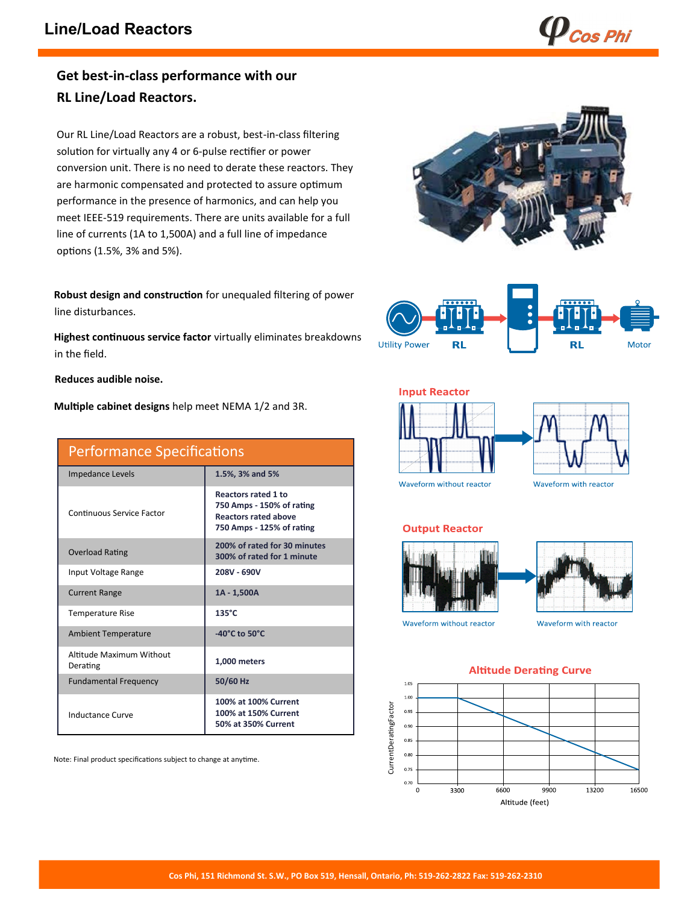$\boldsymbol{p}_{\boldsymbol{cos}$  Phi

## **Get best-in-class performance with our RL Line/Load Reactors.**

Our RL Line/Load Reactors are a robust, best-in-class filtering solution for virtually any 4 or 6-pulse rectifier or power conversion unit. There is no need to derate these reactors. They are harmonic compensated and protected to assure optimum performance in the presence of harmonics, and can help you meet IEEE-519 requirements. There are units available for a full line of currents (1A to 1,500A) and a full line of impedance options (1.5%, 3% and 5%).

**Robust design and construction** for unequaled filtering of power line disturbances.

**Highest continuous service factor** virtually eliminates breakdowns in the field.

**Reduces audible noise.**

**Multiple cabinet designs** help meet NEMA 1/2 and 3R.

| <b>Performance Specifications</b>    |                                                                                                                     |  |  |  |  |  |
|--------------------------------------|---------------------------------------------------------------------------------------------------------------------|--|--|--|--|--|
| Impedance Levels                     | 1.5%, 3% and 5%                                                                                                     |  |  |  |  |  |
| Continuous Service Factor            | <b>Reactors rated 1 to</b><br>750 Amps - 150% of rating<br><b>Reactors rated above</b><br>750 Amps - 125% of rating |  |  |  |  |  |
| <b>Overload Rating</b>               | 200% of rated for 30 minutes<br>300% of rated for 1 minute                                                          |  |  |  |  |  |
| Input Voltage Range                  | 208V - 690V                                                                                                         |  |  |  |  |  |
| <b>Current Range</b>                 | 1A - 1,500A                                                                                                         |  |  |  |  |  |
| <b>Temperature Rise</b>              | $135^{\circ}$ C                                                                                                     |  |  |  |  |  |
| <b>Ambient Temperature</b>           | -40 $^{\circ}$ C to 50 $^{\circ}$ C                                                                                 |  |  |  |  |  |
| Altitude Maximum Without<br>Derating | 1,000 meters                                                                                                        |  |  |  |  |  |
| <b>Fundamental Frequency</b>         | 50/60 Hz                                                                                                            |  |  |  |  |  |
| Inductance Curve                     | 100% at 100% Current<br>100% at 150% Current<br>50% at 350% Current                                                 |  |  |  |  |  |

Note: Final product specifications subject to change at anytime.





**Input Reactor** 





Waveform without reactor

Waveform with reactor

#### **Output Reactor**





Waveform without reactor

Waveform with reactor

#### **Altitude Derating Curve**

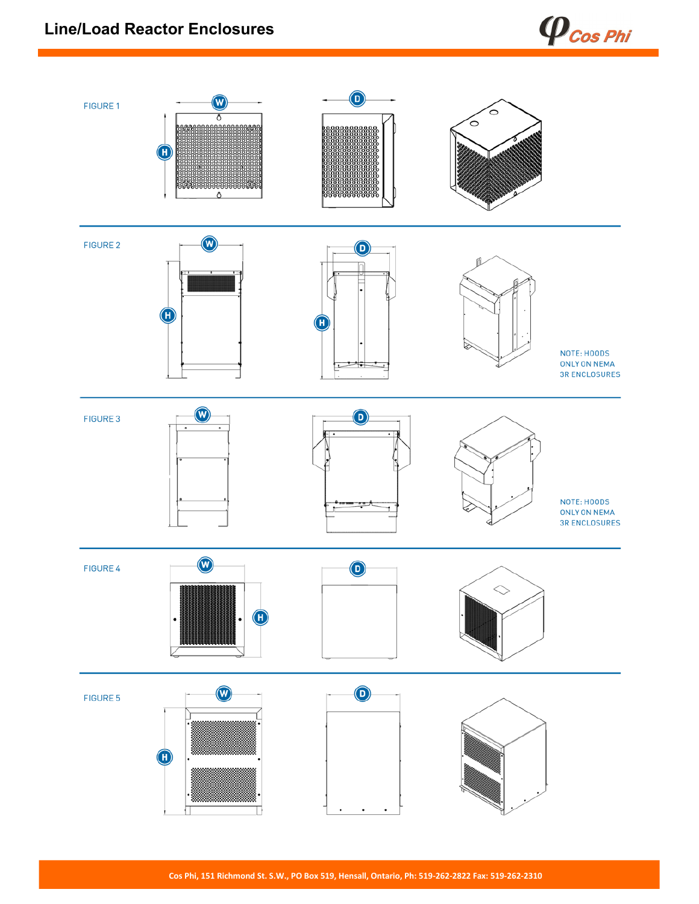## **Line/Load Reactor Enclosures**



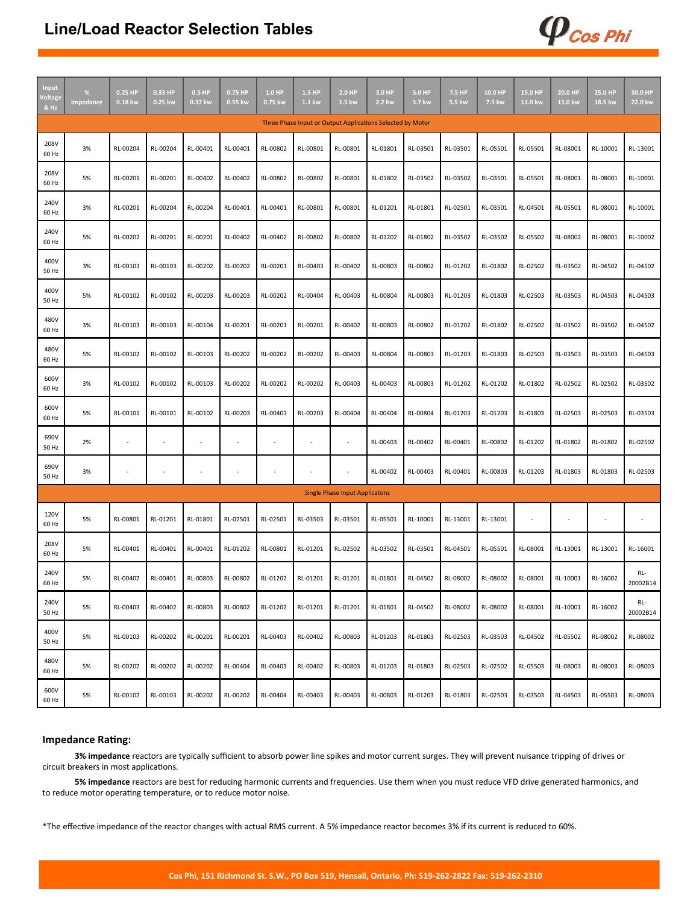#### **Line/Load Reactor Selection Tables**

| <b>Input</b><br>/oltage<br>& Hz                            | %<br>Impedance | 0.25 HP<br>0.18 kw       | 0.33 HP<br>0.25 kw | 0.5 HP<br>0.37 kw | 0.75 HP<br>0.55 kw | $1.0$ HP<br>0.75 kw | 1.5 HP<br>1.1 kw         | 2.0 HP<br>1.5 kw                      | 3.0 HP<br>2.2 kw | 5.0 HP<br>3.7 kw | 7.5 HP<br>5.5 kw | 10.0 HP<br>7.5 kw | 15.0 HP<br>11.0 kw | 20.0 HP<br>15.0 kw | 25.0 HP<br>18.5 kw | 30.0 HP<br>22.0 kw |
|------------------------------------------------------------|----------------|--------------------------|--------------------|-------------------|--------------------|---------------------|--------------------------|---------------------------------------|------------------|------------------|------------------|-------------------|--------------------|--------------------|--------------------|--------------------|
| Three Phase Input or Output Applications Selected by Motor |                |                          |                    |                   |                    |                     |                          |                                       |                  |                  |                  |                   |                    |                    |                    |                    |
| 208V<br>60 Hz                                              | 3%             | RL-00204                 | RL-00204           | RL-00401          | RL-00401           | RL-00802            | RL-00801                 | RL-00801                              | RL-01801         | RL-03501         | RL-03501         | RL-05501          | RL-05501           | RL-08001           | RL-10001           | RL-13001           |
| 208V<br>60 Hz                                              | 5%             | RL-00201                 | RL-00201           | RL-00402          | RL-00402           | RL-00802            | RL-00802                 | RL-00801                              | RL-01802         | RL-03502         | RL-03502         | RL-03501          | RL-05501           | RL-08001           | RL-08001           | RL-10001           |
| 240V<br>60 Hz                                              | 3%             | RL-00201                 | RL-00204           | RL-00204          | RL-00401           | RL-00401            | RL-00801                 | RL-00801                              | RL-01201         | RL-01801         | RL-02501         | RL-03501          | RL-04501           | RL-05501           | RL-08001           | RL-10001           |
| 240V<br>60 Hz                                              | 5%             | RL-00202                 | RL-00201           | RL-00201          | RL-00402           | RL-00402            | RL-00802                 | RL-00802                              | RL-01202         | RL-01802         | RL-03502         | RL-03502          | RL-05502           | RL-08002           | RL-08001           | RL-10002           |
| 400V<br>50 Hz                                              | 3%             | RL-00103                 | RL-00103           | RL-00202          | RL-00202           | RL-00201            | RL-00403                 | RL-00402                              | RL-00803         | RL-00802         | RL-01202         | RL-01802          | RL-02502           | RL-03502           | RL-04502           | RL-04502           |
| 400V<br>50 Hz                                              | 5%             | RL-00102                 | RL-00102           | RL-00203          | RL-00203           | RL-00202            | RL-00404                 | RL-00403                              | RL-00804         | RL-00803         | RL-01203         | RL-01803          | RL-02503           | RL-03503           | RL-04503           | RL-04503           |
| 480V<br>60 Hz                                              | 3%             | RL-00103                 | RL-00103           | RL-00104          | RL-00201           | RL-00201            | RL-00201                 | RL-00402                              | RL-00803         | RL-00802         | RL-01202         | RL-01802          | RL-02502           | RL-03502           | RL-03502           | RL-04502           |
| 480V<br>60 Hz                                              | 5%             | RL-00102                 | RL-00102           | RL-00103          | RL-00202           | RL-00202            | RL-00202                 | RL-00403                              | RL-00804         | RL-00803         | RL-01203         | RL-01803          | RL-02503           | RL-03503           | RL-03503           | RL-04503           |
| 600V<br>60 Hz                                              | 3%             | RL-00102                 | RL-00102           | RL-00103          | RL-00202           | RL-00202            | RL-00202                 | RL-00403                              | RL-00403         | RL-00803         | RL-01202         | RL-01202          | RL-01802           | RL-02502           | RL-02502           | RL-03502           |
| 600V<br>60 Hz                                              | 5%             | RL-00101                 | RL-00101           | RL-00102          | RL-00203           | RL-00403            | RL-00203                 | RL-00404                              | RL-00404         | RL-00804         | RL-01203         | RL-01203          | RL-01803           | RL-02503           | RL-02503           | RL-03503           |
| 690V<br>50 Hz                                              | 2%             | $\overline{\phantom{a}}$ |                    |                   | í,                 | ×                   | $\overline{\phantom{a}}$ | ÷                                     | RL-00403         | RL-00402         | RL-00401         | RL-00802          | RL-01202           | RL-01802           | RL-01802           | RL-02502           |
| 690V<br>50 Hz                                              | 3%             | ×,                       |                    |                   | í,                 |                     | $\overline{\phantom{a}}$ | $\overline{\phantom{a}}$              | RL-00402         | RL-00403         | RL-00401         | RL-00803          | RL-01203           | RL-01803           | RL-01803           | RL-02503           |
|                                                            |                |                          |                    |                   |                    |                     |                          | <b>Single Phase Input Applicatons</b> |                  |                  |                  |                   |                    |                    |                    |                    |
| 120V<br>60 Hz                                              | 5%             | RL-00801                 | RL-01201           | RL-01801          | RL-02501           | RL-02501            | RL-03503                 | RL-03501                              | RL-05501         | RL-10001         | RL-13001         | RL-13001          |                    | ٠                  | ÷                  |                    |
| 208V<br>60 Hz                                              | 5%             | RL-00401                 | RL-00401           | RL-00401          | RL-01202           | RL-00801            | RL-01201                 | RL-02502                              | RL-03502         | RL-03501         | RL-04501         | RL-05501          | RL-08001           | RL-13001           | RL-13001           | RL-16001           |
| 240V<br>60 Hz                                              | 5%             | RL-00402                 | RL-00401           | RL-00803          | RL-00802           | RL-01202            | RL-01201                 | RL-01201                              | RL-01801         | RL-04502         | RL-08002         | RL-08002          | RL-08001           | RL-10001           | RL-16002           | RL-<br>20002B14    |
| 240V<br>50 Hz                                              | 5%             | RL-00403                 | RL-00402           | RL-00803          | RL-00802           | RL-01202            | RL-01201                 | RL-01201                              | RL-01801         | RL-04502         | RL-08002         | RL-08002          | RL-08001           | RL-10001           | RL-16002           | RL-<br>20002B14    |
| 400V<br>50 Hz                                              | 5%             | RL-00103                 | RL-00202           | RL-00201          | RL-00201           | RL-00403            | RL-00402                 | RL-00803                              | RL-01203         | RL-01803         | RL-02503         | RL-03503          | RL-04502           | RL-05502           | RL-08002           | RL-08002           |
| 480V<br>60 Hz                                              | 5%             | RL-00202                 | RL-00202           | RL-00202          | RL-00404           | RL-00403            | RL-00402                 | RL-00803                              | RL-01203         | RL-01803         | RL-02503         | RL-02502          | RL-05503           | RL-08003           | RL-08003           | RL-08003           |
| 600V<br>60 Hz                                              | 5%             | RL-00102                 | RL-00103           | RL-00202          | RL-00202           | RL-00404            | RL-00403                 | RL-00403                              | RL-00803         | RL-01203         | RL-01803         | RL-02503          | RL-03503           | RL-04503           | RL-05503           | RL-08003           |

 $\boldsymbol{\varphi}$ Cos Phi

#### **Impedance Rating:**

**3% impedance** reactors are typically sufficient to absorb power line spikes and motor current surges. They will prevent nuisance tripping of drives or circuit breakers in most applications.

**5% impedance** reactors are best for reducing harmonic currents and frequencies. Use them when you must reduce VFD drive generated harmonics, and to reduce motor operating temperature, or to reduce motor noise.

\*The effective impedance of the reactor changes with actual RMS current. A 5% impedance reactor becomes 3% if its current is reduced to 60%.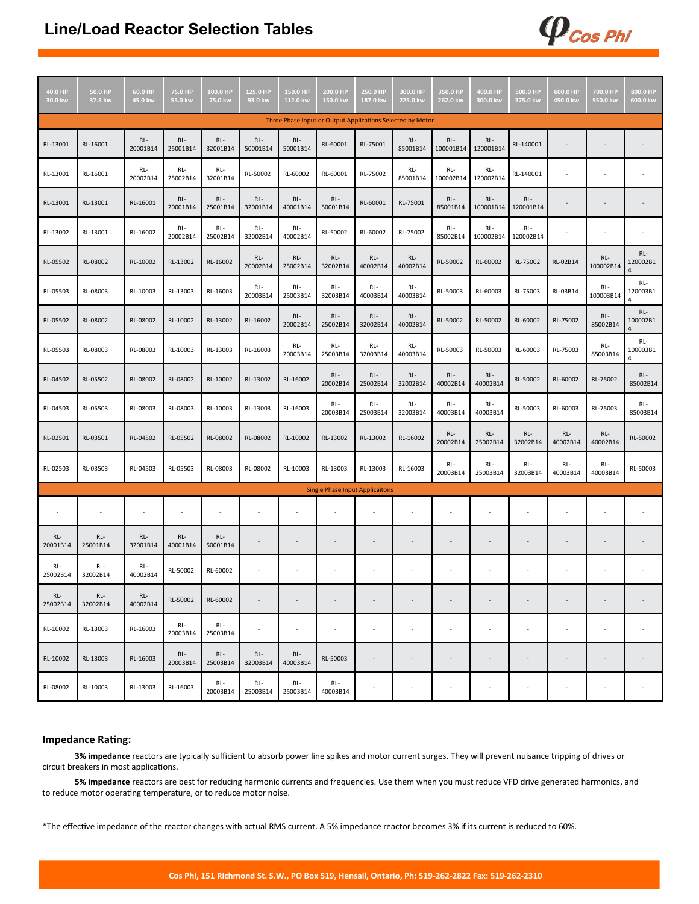## **Line/Load Reactor Selection Tables**

| 40.0 HP<br>30.0 kw                                         | 50.0 HP<br>37.5 kw | 60.0 HP<br>45.0 kw | 75.0 HP<br>55.0 kw | 100.0 HP<br>75.0 kw | 125.0 HP<br>93.0 kw      | 150.0 HP<br>112.0 kw     | 200.0 HP<br>150.0 kw                   | 250.0 HP<br>187.0 kw | 300.0 HP<br>225.0 kw     | 350.0 HP<br>262.0 kw | 400.0 HP<br>300.0 kw     | 500.0 HP<br>375.0 kw | 600.0 HP<br>450.0 kw | 700.0 HP<br>550.0 kw     | 800.0 HP<br>600.0 kw |
|------------------------------------------------------------|--------------------|--------------------|--------------------|---------------------|--------------------------|--------------------------|----------------------------------------|----------------------|--------------------------|----------------------|--------------------------|----------------------|----------------------|--------------------------|----------------------|
| Three Phase Input or Output Applications Selected by Motor |                    |                    |                    |                     |                          |                          |                                        |                      |                          |                      |                          |                      |                      |                          |                      |
| RL-13001                                                   | RL-16001           | RL-<br>20001B14    | RL-<br>25001B14    | RL-<br>32001B14     | RL-<br>50001B14          | RL-<br>50001B14          | RL-60001                               | RL-75001             | RL-<br>85001B14          | RL-<br>100001B14     | RL-<br>120001B14         | RL-140001            |                      |                          |                      |
| RL-13001                                                   | RL-16001           | RL-<br>20002B14    | RL-<br>25002B14    | RL-<br>32001B14     | RL-50002                 | RL-60002                 | RL-60001                               | RL-75002             | RL-<br>85001B14          | RL-<br>100002B14     | RL-<br>120002B14         | RL-140001            | ä,                   |                          |                      |
| RL-13001                                                   | RL-13001           | RL-16001           | RL-<br>20001B14    | RL-<br>25001B14     | RL-<br>32001B14          | RL-<br>40001B14          | RL-<br>50001B14                        | RL-60001             | RL-75001                 | RL-<br>85001B14      | RL-<br>100001B14         | RL-<br>120001B14     |                      |                          |                      |
| RL-13002                                                   | RL-13001           | RL-16002           | RL-<br>20002B14    | RL-<br>25002B14     | RL-<br>32002B14          | RL-<br>40002B14          | RL-50002                               | RL-60002             | RL-75002                 | RL-<br>85002B14      | RL-<br>100002B14         | RL-<br>120002B14     | ÷                    | $\overline{\phantom{a}}$ |                      |
| RL-05502                                                   | RL-08002           | RL-10002           | RL-13002           | RL-16002            | RL-<br>20002B14          | RL-<br>25002B14          | RL-<br>32002B14                        | RL-<br>40002B14      | RL-<br>40002B14          | RL-50002             | RL-60002                 | RL-75002             | RL-02B14             | RL-<br>100002B14         | RL-<br>120002B1<br>4 |
| RL-05503                                                   | RL-08003           | RL-10003           | RL-13003           | RL-16003            | RL-<br>20003B14          | RL-<br>25003B14          | RL-<br>32003B14                        | RL-<br>40003B14      | RL-<br>40003B14          | RL-50003             | RL-60003                 | RL-75003             | RL-03B14             | RL-<br>100003B14         | RL-<br>120003B1<br>4 |
| RL-05502                                                   | RL-08002           | RL-08002           | RL-10002           | RL-13002            | RL-16002                 | RL-<br>20002B14          | RL-<br>25002B14                        | RL-<br>32002B14      | RL-<br>40002B14          | RL-50002             | RL-50002                 | RL-60002             | RL-75002             | RL-<br>85002B14          | RL-<br>100002B1<br>4 |
| RL-05503                                                   | RL-08003           | RL-08003           | RL-10003           | RL-13003            | RL-16003                 | RL-<br>20003B14          | RL-<br>25003B14                        | RL-<br>32003B14      | RL-<br>40003B14          | RL-50003             | RL-50003                 | RL-60003             | RL-75003             | RL-<br>85003B14          | RL-<br>100003B1<br>4 |
| RL-04502                                                   | RL-05502           | RL-08002           | RL-08002           | RL-10002            | RL-13002                 | RL-16002                 | RL-<br>20002B14                        | RL-<br>25002B14      | RL-<br>32002B14          | RL-<br>40002B14      | RL-<br>40002B14          | RL-50002             | RL-60002             | RL-75002                 | RL-<br>85002B14      |
| RL-04503                                                   | RL-05503           | RL-08003           | RL-08003           | RL-10003            | RL-13003                 | RL-16003                 | RL-<br>20003B14                        | RL-<br>25003B14      | RL-<br>32003B14          | RL-<br>40003B14      | RL-<br>40003B14          | RL-50003             | RL-60003             | RL-75003                 | RL-<br>85003B14      |
| RL-02501                                                   | RL-03501           | RL-04502           | RL-05502           | RL-08002            | RL-08002                 | RL-10002                 | RL-13002                               | RL-13002             | RL-16002                 | RL-<br>20002B14      | RL-<br>25002B14          | RL-<br>32002B14      | RL-<br>40002B14      | RL-<br>40002B14          | RL-50002             |
| RL-02503                                                   | RL-03503           | RL-04503           | RL-05503           | RL-08003            | RL-08002                 | RL-10003                 | RL-13003                               | RL-13003             | RL-16003                 | RL-<br>20003B14      | RL-<br>25003B14          | RL-<br>32003B14      | RL-<br>40003B14      | RL-<br>40003B14          | RL-50003             |
|                                                            |                    |                    |                    |                     |                          |                          | <b>Single Phase Input Applicaitons</b> |                      |                          |                      |                          |                      |                      |                          |                      |
|                                                            |                    | $\sim$             |                    |                     |                          |                          |                                        |                      |                          |                      |                          |                      |                      |                          |                      |
| RL-<br>20001B14                                            | RL-<br>25001B14    | RL-<br>32001B14    | RL-<br>40001B14    | RL-<br>50001B14     |                          | $\overline{\phantom{a}}$ | ٠                                      | $\blacksquare$       | $\overline{\phantom{a}}$ |                      | $\overline{\phantom{a}}$ |                      | ÷,                   |                          |                      |
| RL-<br>25002B14                                            | RL-<br>32002B14    | RL-<br>40002B14    | RL-50002           | RL-60002            |                          |                          |                                        |                      | ٠                        |                      |                          |                      | ÷                    |                          |                      |
| RL-<br>25002B14                                            | RL-<br>32002B14    | RL-<br>40002B14    | RL-50002           | RL-60002            |                          | ÷                        |                                        |                      | ÷,                       |                      | $\overline{a}$           |                      |                      |                          |                      |
| RL-10002                                                   | RL-13003           | RL-16003           | RL-<br>20003B14    | RL-<br>25003B14     | $\overline{\phantom{a}}$ | ÷,                       | ٠                                      |                      | $\overline{\phantom{a}}$ | $\sim$               | ×.                       |                      | ä,                   |                          |                      |
| RL-10002                                                   | RL-13003           | RL-16003           | RL-<br>20003B14    | RL-<br>25003B14     | RL-<br>32003B14          | RL-<br>40003B14          | RL-50003                               |                      |                          |                      |                          |                      | ÷,                   |                          |                      |
| RL-08002                                                   | RL-10003           | RL-13003           | RL-16003           | RL-<br>20003B14     | RL-<br>25003B14          | RL-<br>25003B14          | RL-<br>40003B14                        |                      |                          |                      |                          |                      | ä,                   |                          |                      |

 $\boldsymbol{\varphi}$ <sub>Cos Phi</sub>

#### **Impedance Rating:**

**3% impedance** reactors are typically sufficient to absorb power line spikes and motor current surges. They will prevent nuisance tripping of drives or circuit breakers in most applications.

**5% impedance** reactors are best for reducing harmonic currents and frequencies. Use them when you must reduce VFD drive generated harmonics, and to reduce motor operating temperature, or to reduce motor noise.

\*The effective impedance of the reactor changes with actual RMS current. A 5% impedance reactor becomes 3% if its current is reduced to 60%.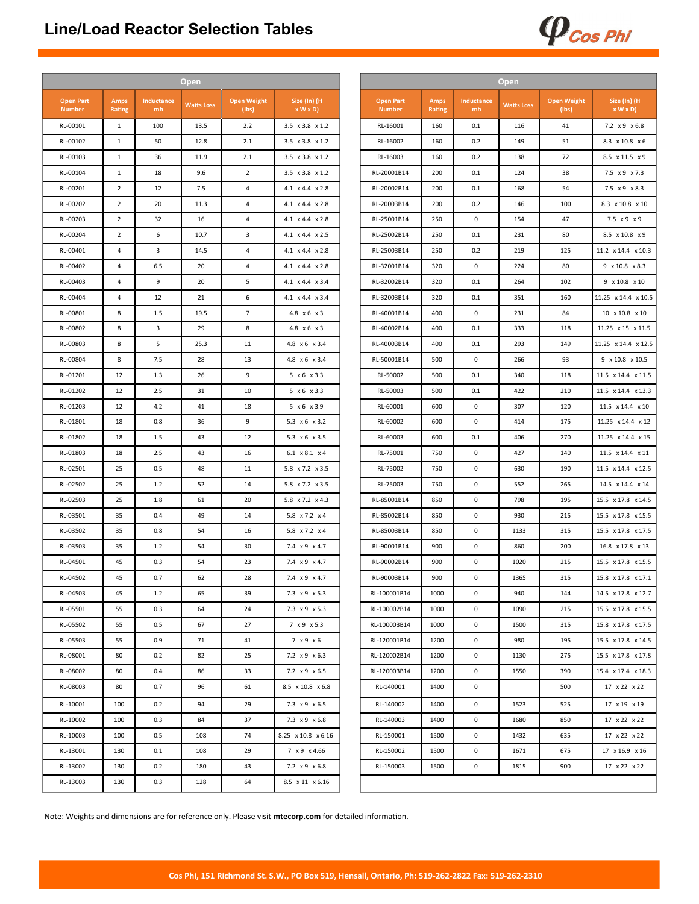## **Line/Load Reactor Selection Tables**



|                                   |                       |                  | <b>Open</b>       |                             |                             |
|-----------------------------------|-----------------------|------------------|-------------------|-----------------------------|-----------------------------|
| <b>Open Part</b><br><b>Number</b> | <b>Amps</b><br>Rating | Inductance<br>mh | <b>Watts Loss</b> | <b>Open Weight</b><br>(lbs) | Size (In) (H<br>x W x D     |
| RL-00101                          | 1                     | 100              | 13.5              | 2.2                         | 3.5 x 3.8 x 1.2             |
| RL-00102                          | $\mathbf{1}$          | 50               | 12.8              | 2.1                         | 3.5 x 3.8 x 1.2             |
| RL-00103                          | $\mathbf{1}$          | 36               | 11.9              | 2.1                         | 3.5 x 3.8 x 1.2             |
| RL-00104                          | $\mathbf{1}$          | 18               | 9.6               | $\overline{2}$              | 3.5 x 3.8 x 1.2             |
| RL-00201                          | $\overline{2}$        | 12               | 7.5               | $\overline{4}$              | 4.1 x 4.4 x 2.8             |
| RL-00202                          | $\overline{2}$        | 20               | 11.3              | 4                           | 4.1 x 4.4 x 2.8             |
| RL-00203                          | $\overline{2}$        | 32               | 16                | 4                           | 4.1 x 4.4 x 2.8             |
| RL-00204                          | $\overline{2}$        | 6                | 10.7              | 3                           | 4.1 x 4.4 x 2.5             |
| RL-00401                          | 4                     | 3                | 14.5              | 4                           | 4.1 x 4.4 x 2.8             |
| RL-00402                          | $\overline{4}$        | 6.5              | 20                | 4                           | 4.1 x 4.4 x 2.8             |
| RL-00403                          | $\overline{4}$        | 9                | 20                | 5                           | 4.1 x 4.4 x 3.4             |
| RL-00404                          | 4                     | 12               | 21                | 6                           | 4.1 x 4.4 x 3.4             |
| RL-00801                          | 8                     | 1.5              | 19.5              | $\overline{7}$              | 4.8 x 6 x 3                 |
| RL-00802                          | 8                     | 3                | 29                | 8                           | 4.8 x 6 x 3                 |
| RL-00803                          | 8                     | 5                | 25.3              | $11\,$                      | 4.8 x 6 x 3.4               |
| RL-00804                          | 8                     | 7.5              | 28                | 13                          | 4.8 x 6 x 3.4               |
| RL-01201                          | 12                    | 1.3              | 26                | 9                           | 5 x 6 x 3.3                 |
| RL-01202                          | 12                    | 2.5              | 31                | 10                          | 5 x 6 x 3.3                 |
| RL-01203                          | 12                    | 4.2              | 41                | 18                          | 5 x 6 x 3.9                 |
| RL-01801                          | 18                    | 0.8              | 36                | 9                           | 5.3 x 6 x 3.2               |
| RL-01802                          | 18                    | 1.5              | 43                | 12                          | 5.3 x 6 x 3.5               |
| RL-01803                          | 18                    | 2.5              | 43                | 16                          | 6.1 $\times$ 8.1 $\times$ 4 |
| RL-02501                          | 25                    | 0.5              | 48                | $11\,$                      | 5.8 x 7.2 x 3.5             |
| RL-02502                          | 25                    | 1.2              | 52                | 14                          | 5.8 x 7.2 x 3.5             |
| RL-02503                          | 25                    | 1.8              | 61                | 20                          | 5.8 x 7.2 x 4.3             |
| RL-03501                          | 35                    | 0.4              | 49                | 14                          | 5.8 x 7.2 x 4               |
| RL-03502                          | 35                    | 0.8              | 54                | 16                          | 5.8 x 7.2 x 4               |
| RL-03503                          | 35                    | 1.2              | 54                | 30                          | 7.4 x 9 x 4.7               |
| RL-04501                          | 45                    | 0.3              | 54                | 23                          | 7.4 x 9 x 4.7               |
| RL-04502                          | 45                    | 0.7              | 62                | 28                          | 7.4 x 9 x 4.7               |
| RL-04503                          | 45                    | 1.2              | 65                | 39                          | 7.3 x 9 x 5.3               |
| RL-05501                          | 55                    | 0.3              | 64                | 24                          | 7.3 x 9 x 5.3               |
| RL-05502                          | 55                    | 0.5              | 67                | 27                          | 7 x 9 x 5.3                 |
| RL-05503                          | 55                    | 0.9              | 71                | 41                          | 7 x 9 x 6                   |
| RL-08001                          | 80                    | 0.2              | 82                | 25                          | 7.2 x 9 x 6.3               |
| RL-08002                          | 80                    | 0.4              | 86                | 33                          | 7.2 x 9 x 6.5               |
| RL-08003                          | 80                    | 0.7              | 96                | 61                          | 8.5 x 10.8 x 6.8            |
|                                   |                       |                  |                   |                             |                             |
| RL-10001                          | 100                   | 0.2              | 94                | 29                          | 7.3 x 9 x 6.5               |
| RL-10002                          | 100                   | 0.3              | 84                | 37                          | 7.3 x 9 x 6.8               |
| RL-10003                          | 100                   | 0.5              | 108               | 74                          | 8.25 x 10.8 x 6.16          |
| RL-13001                          | 130                   | 0.1              | 108               | 29                          | 7 x 9 x 4.66                |
| RL-13002                          | 130                   | 0.2              | 180               | 43                          | 7.2 x 9 x 6.8               |
| RL-13003                          | 130                   | 0.3              | 128               | 64                          | 8.5 x 11 x 6.16             |
|                                   |                       |                  |                   |                             |                             |

Note: Weights and dimensions are for reference only. Please visit **mtecorp.com** for detailed information.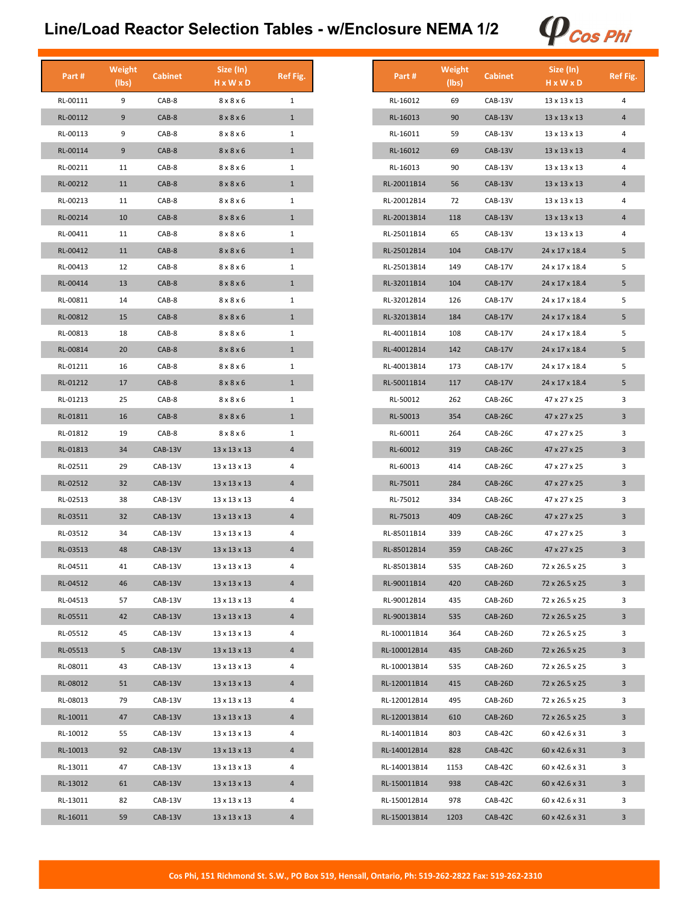# **Line/Load Reactor Selection Tables - w/Enclosure NEMA 1/2**



| Part#    | Weight<br>(lbs) | <b>Cabinet</b> | Size (In)<br>H x W x D | Ref Fig. |
|----------|-----------------|----------------|------------------------|----------|
| RL-00111 | 9               | CAB-8          | $8 \times 8 \times 6$  | 1        |
| RL-00112 | 9               | CAB-8          | 8 x 8 x 6              | 1        |
| RL-00113 | 9               | CAB-8          | 8x8x6                  | 1        |
| RL-00114 | 9               | $CAB-8$        | 8x8x6                  | 1        |
| RL-00211 | 11              | CAB-8          | 8 x 8 x 6              | 1        |
| RL-00212 | 11              | CAB-8          | 8 x 8 x 6              | 1        |
| RL-00213 | 11              | CAB-8          | 8x8x6                  | 1        |
| RL-00214 | 10              | CAB-8          | 8x8x6                  | 1        |
| RL-00411 | 11              | CAB-8          | 8 x 8 x 6              | 1        |
| RL-00412 | 11              | $CAB-8$        | 8x8x6                  | 1        |
| RL-00413 | 12              | $CAB-8$        | 8x8x6                  | 1        |
| RL-00414 | 13              | CAB-8          | 8x8x6                  | 1        |
| RL-00811 | 14              | CAB-8          | 8 x 8 x 6              | 1        |
| RL-00812 | 15              | CAB-8          | 8 x 8 x 6              | 1        |
| RL-00813 | 18              | CAB-8          | 8x8x6                  | 1        |
| RL-00814 | 20              | CAB-8          | 8x8x6                  | 1        |
| RL-01211 | 16              | CAB-8          | $8 \times 8 \times 6$  | 1        |
| RL-01212 | 17              | CAB-8          | 8x8x6                  | 1        |
| RL-01213 | 25              | CAB-8          | 8x8x6                  | 1        |
| RL-01811 | 16              | CAB-8          | 8 x 8 x 6              | 1        |
| RL-01812 | 19              | CAB-8          | 8x8x6                  | 1        |
| RL-01813 | 34              | CAB-13V        | 13 x 13 x 13           | 4        |
| RL-02511 | 29              | CAB-13V        | 13 x 13 x 13           | 4        |
| RL-02512 | 32              | CAB-13V        | 13 x 13 x 13           | 4        |
| RL-02513 | 38              | CAB-13V        | 13 x 13 x 13           | 4        |
| RL-03511 | 32              | CAB-13V        | 13 x 13 x 13           | 4        |
| RL-03512 | 34              | CAB-13V        | 13 x 13 x 13           | 4        |
| RL-03513 | 48              | CAB-13V        | 13 x 13 x 13           | 4        |
| RL-04511 | 41              | CAB-13V        | 13 x 13 x 13           | 4        |
| RL-04512 | 46              | CAB-13V        | 13 x 13 x 13           | 4        |
| RL-04513 | 57              | CAB-13V        | 13 x 13 x 13           | 4        |
| RL-05511 | 42              | CAB-13V        | 13 x 13 x 13           | 4        |
| RL-05512 | 45              | CAB-13V        | 13 x 13 x 13           | 4        |
| RL-05513 | 5               | CAB-13V        | 13 x 13 x 13           | 4        |
| RL-08011 | 43              | CAB-13V        | 13 x 13 x 13           | 4        |
| RL-08012 | 51              | $CAB-13V$      | 13 x 13 x 13           | 4        |
| RL-08013 | 79              | CAB-13V        | 13 x 13 x 13           | 4        |
| RL-10011 | 47              | CAB-13V        | 13 x 13 x 13           | 4        |
| RL-10012 | 55              | CAB-13V        | 13 x 13 x 13           | 4        |
| RL-10013 | 92              | CAB-13V        | 13 x 13 x 13           | 4        |
| RL-13011 | 47              | CAB-13V        | 13 x 13 x 13           | 4        |
| RL-13012 | 61              | CAB-13V        | 13 x 13 x 13           | 4        |
| RL-13011 | 82              | CAB-13V        | 13 x 13 x 13           | 4        |
| RL-16011 | 59              | CAB-13V        | 13 x 13 x 13           | 4        |

| Part #       | Weight<br>(lbs) | <b>Cabinet</b> | Size (In)<br>H x W x D   | Ref Fig. |
|--------------|-----------------|----------------|--------------------------|----------|
| RL-16012     | 69              | CAB-13V        | 13 x 13 x 13             | 4        |
| RL-16013     | 90              | $CAB-13V$      | 13 x 13 x 13             | 4        |
| RL-16011     | 59              | CAB-13V        | 13 x 13 x 13             | 4        |
| RL-16012     | 69              | <b>CAB-13V</b> | 13 x 13 x 13             | 4        |
| RL-16013     | 90              | CAB-13V        | 13 x 13 x 13             | 4        |
| RL-20011B14  | 56              | CAB-13V        | $13 \times 13 \times 13$ | 4        |
| RL-20012B14  | 72              | CAB-13V        | 13 x 13 x 13             | 4        |
| RL-20013B14  | 118             | CAB-13V        | 13 x 13 x 13             | 4        |
| RL-25011B14  | 65              | CAB-13V        | 13 x 13 x 13             | 4        |
| RL-25012B14  | 104             | <b>CAB-17V</b> | 24 x 17 x 18.4           | 5        |
| RL-25013B14  | 149             | CAB-17V        | 24 x 17 x 18.4           | 5        |
| RL-32011B14  | 104             | <b>CAB-17V</b> | 24 x 17 x 18.4           | 5        |
| RL-32012B14  | 126             | CAB-17V        | 24 x 17 x 18.4           | 5        |
| RL-32013B14  | 184             | <b>CAB-17V</b> | 24 x 17 x 18.4           | 5        |
| RL-40011B14  | 108             | <b>CAB-17V</b> | 24 x 17 x 18.4           | 5        |
| RL-40012B14  | 142             | <b>CAB-17V</b> | 24 x 17 x 18.4           | 5        |
| RL-40013B14  | 173             | <b>CAB-17V</b> | 24 x 17 x 18.4           | 5        |
| RL-50011B14  | 117             | $CAB-17V$      | 24 x 17 x 18.4           | 5        |
| RL-50012     | 262             | CAB-26C        | 47 x 27 x 25             | 3        |
| RL-50013     | 354             | CAB-26C        | 47 x 27 x 25             | 3        |
| RL-60011     | 264             | CAB-26C        | 47 x 27 x 25             | 3        |
| RL-60012     | 319             | CAB-26C        | 47 x 27 x 25             | 3        |
| RL-60013     | 414             | CAB-26C        | 47 x 27 x 25             | 3        |
| RL-75011     | 284             | CAB-26C        | 47 x 27 x 25             | 3        |
| RL-75012     | 334             | CAB-26C        | 47 x 27 x 25             | 3        |
| RL-75013     | 409             | CAB-26C        | 47 x 27 x 25             | 3        |
| RL-85011B14  | 339             | CAB-26C        | 47 x 27 x 25             | 3        |
| RL-85012B14  | 359             | CAB-26C        | 47 x 27 x 25             | 3        |
| RL-85013B14  | 535             | CAB-26D        | 72 x 26.5 x 25           | 3        |
| RL-90011B14  | 420             | CAB-26D        | 72 x 26.5 x 25           | 3        |
| RL-90012B14  | 435             | CAB-26D        | 72 x 26.5 x 25           | 3        |
| RL-90013B14  | 535             | CAB-26D        | 72 x 26.5 x 25           | 3        |
| RL-100011B14 | 364             | CAB-26D        | 72 x 26.5 x 25           | 3        |
| RL-100012B14 | 435             | CAB-26D        | 72 x 26.5 x 25           | 3        |
| RL-100013B14 | 535             | CAB-26D        | 72 x 26.5 x 25           | 3        |
| RL-120011B14 | 415             | CAB-26D        | 72 x 26.5 x 25           | 3        |
| RL-120012B14 | 495             | CAB-26D        | 72 x 26.5 x 25           | 3        |
| RL-120013B14 | 610             | CAB-26D        | 72 x 26.5 x 25           | 3        |
| RL-140011B14 | 803             | CAB-42C        | 60 x 42.6 x 31           | 3        |
| RL-140012B14 | 828             | CAB-42C        | 60 x 42.6 x 31           | 3        |
| RL-140013B14 | 1153            | CAB-42C        | 60 x 42.6 x 31           | 3        |
| RL-150011B14 | 938             | CAB-42C        | 60 x 42.6 x 31           | 3        |
| RL-150012B14 | 978             | CAB-42C        | 60 x 42.6 x 31           | 3        |
| RL-150013B14 | 1203            | CAB-42C        | 60 x 42.6 x 31           | 3        |